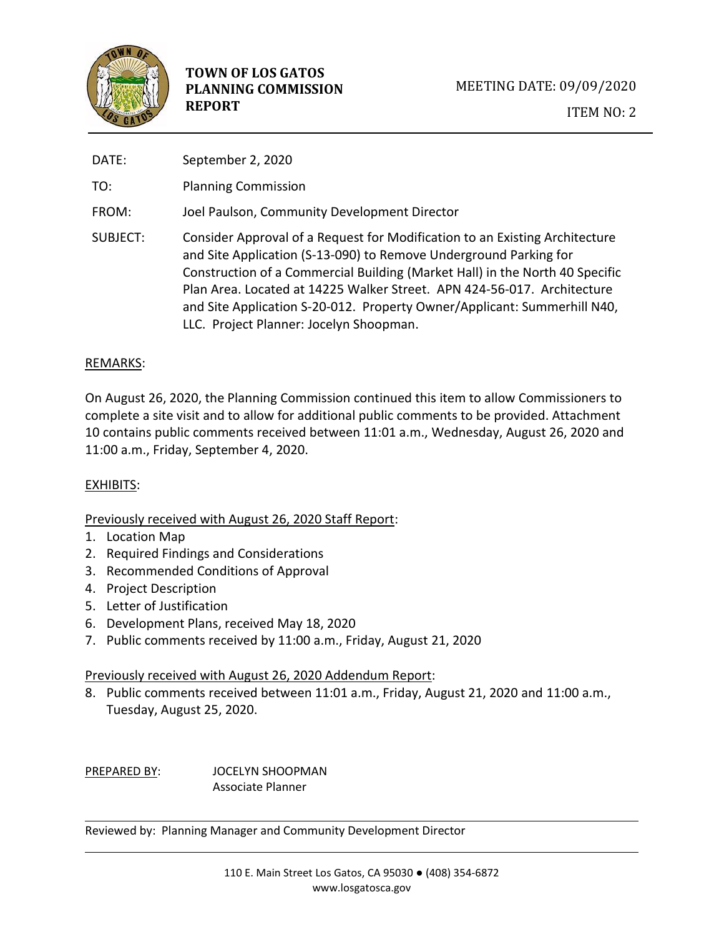

| DATE:    | September 2, 2020                                                                                                                                                                                                                                                                                                                                                                                                                  |
|----------|------------------------------------------------------------------------------------------------------------------------------------------------------------------------------------------------------------------------------------------------------------------------------------------------------------------------------------------------------------------------------------------------------------------------------------|
| TO:      | <b>Planning Commission</b>                                                                                                                                                                                                                                                                                                                                                                                                         |
| FROM:    | Joel Paulson, Community Development Director                                                                                                                                                                                                                                                                                                                                                                                       |
| SUBJECT: | Consider Approval of a Request for Modification to an Existing Architecture<br>and Site Application (S-13-090) to Remove Underground Parking for<br>Construction of a Commercial Building (Market Hall) in the North 40 Specific<br>Plan Area. Located at 14225 Walker Street. APN 424-56-017. Architecture<br>and Site Application S-20-012. Property Owner/Applicant: Summerhill N40,<br>LLC. Project Planner: Jocelyn Shoopman. |

## REMARKS:

On August 26, 2020, the Planning Commission continued this item to allow Commissioners to complete a site visit and to allow for additional public comments to be provided. Attachment 10 contains public comments received between 11:01 a.m., Wednesday, August 26, 2020 and 11:00 a.m., Friday, September 4, 2020.

# EXHIBITS:

#### Previously received with August 26, 2020 Staff Report:

- 1. Location Map
- 2. Required Findings and Considerations
- 3. Recommended Conditions of Approval
- 4. Project Description
- 5. Letter of Justification
- 6. Development Plans, received May 18, 2020
- 7. Public comments received by 11:00 a.m., Friday, August 21, 2020

#### Previously received with August 26, 2020 Addendum Report:

8. Public comments received between 11:01 a.m., Friday, August 21, 2020 and 11:00 a.m., Tuesday, August 25, 2020.

PREPARED BY: JOCELYN SHOOPMAN Associate Planner

Reviewed by: Planning Manager and Community Development Director